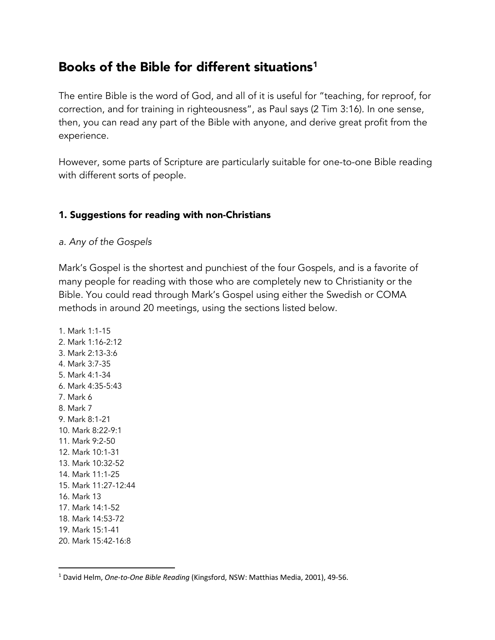# Books of the Bible for different situations<sup>1</sup>

The entire Bible is the word of God, and all of it is useful for "teaching, for reproof, for correction, and for training in righteousness", as Paul says (2 Tim 3:16). In one sense, then, you can read any part of the Bible with anyone, and derive great profit from the experience.

However, some parts of Scripture are particularly suitable for one-to-one Bible reading with different sorts of people.

## 1. Suggestions for reading with non-Christians

*a. Any of the Gospels* 

Mark's Gospel is the shortest and punchiest of the four Gospels, and is a favorite of many people for reading with those who are completely new to Christianity or the Bible. You could read through Mark's Gospel using either the Swedish or COMA methods in around 20 meetings, using the sections listed below.

1. Mark 1:1-15 2. Mark 1:16-2:12 3. Mark 2:13-3:6 4. Mark 3:7-35 5. Mark 4:1-34 6. Mark 4:35-5:43 7. Mark 6 8. Mark 7 9. Mark 8:1-21 10. Mark 8:22-9:1 11. Mark 9:2-50 12. Mark 10:1-31 13. Mark 10:32-52 14. Mark 11:1-25 15. Mark 11:27-12:44 16. Mark 13 17. Mark 14:1-52 18. Mark 14:53-72 19. Mark 15:1-41 20. Mark 15:42-16:8

<sup>1</sup> David Helm, *One-to-One Bible Reading* (Kingsford, NSW: Matthias Media, 2001), 49-56.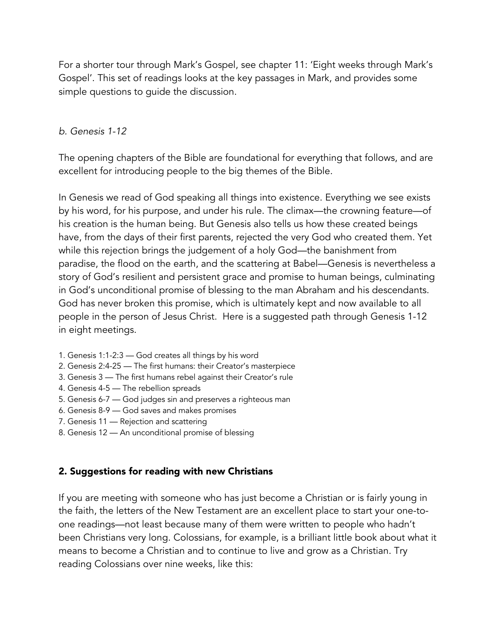For a shorter tour through Mark's Gospel, see chapter 11: 'Eight weeks through Mark's Gospel'. This set of readings looks at the key passages in Mark, and provides some simple questions to guide the discussion.

#### *b. Genesis 1-12*

The opening chapters of the Bible are foundational for everything that follows, and are excellent for introducing people to the big themes of the Bible.

In Genesis we read of God speaking all things into existence. Everything we see exists by his word, for his purpose, and under his rule. The climax—the crowning feature—of his creation is the human being. But Genesis also tells us how these created beings have, from the days of their first parents, rejected the very God who created them. Yet while this rejection brings the judgement of a holy God—the banishment from paradise, the flood on the earth, and the scattering at Babel—Genesis is nevertheless a story of God's resilient and persistent grace and promise to human beings, culminating in God's unconditional promise of blessing to the man Abraham and his descendants. God has never broken this promise, which is ultimately kept and now available to all people in the person of Jesus Christ. Here is a suggested path through Genesis 1-12 in eight meetings.

- 1. Genesis 1:1-2:3 God creates all things by his word
- 2. Genesis 2:4-25 The first humans: their Creator's masterpiece
- 3. Genesis 3 The first humans rebel against their Creator's rule
- 4. Genesis 4-5 The rebellion spreads
- 5. Genesis 6-7 God judges sin and preserves a righteous man
- 6. Genesis 8-9 God saves and makes promises
- 7. Genesis 11 Rejection and scattering
- 8. Genesis 12 An unconditional promise of blessing

## 2. Suggestions for reading with new Christians

If you are meeting with someone who has just become a Christian or is fairly young in the faith, the letters of the New Testament are an excellent place to start your one-toone readings—not least because many of them were written to people who hadn't been Christians very long. Colossians, for example, is a brilliant little book about what it means to become a Christian and to continue to live and grow as a Christian. Try reading Colossians over nine weeks, like this: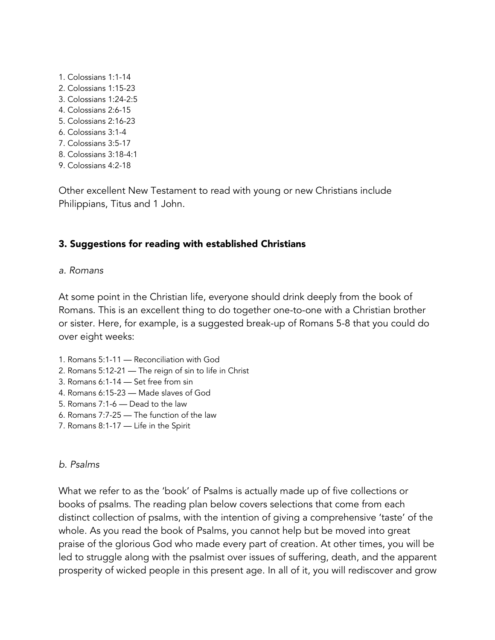1. Colossians 1:1-14 2. Colossians 1:15-23 3. Colossians 1:24-2:5 4. Colossians 2:6-15 5. Colossians 2:16-23 6. Colossians 3:1-4 7. Colossians 3:5-17 8. Colossians 3:18-4:1 9. Colossians 4:2-18

Other excellent New Testament to read with young or new Christians include Philippians, Titus and 1 John.

### 3. Suggestions for reading with established Christians

#### *a. Romans*

At some point in the Christian life, everyone should drink deeply from the book of Romans. This is an excellent thing to do together one-to-one with a Christian brother or sister. Here, for example, is a suggested break-up of Romans 5-8 that you could do over eight weeks:

- 1. Romans 5:1-11 Reconciliation with God
- 2. Romans 5:12-21 The reign of sin to life in Christ
- 3. Romans 6:1-14 Set free from sin
- 4. Romans 6:15-23 Made slaves of God
- 5. Romans 7:1-6 Dead to the law
- 6. Romans 7:7-25 The function of the law
- 7. Romans 8:1-17 Life in the Spirit

#### *b. Psalms*

What we refer to as the 'book' of Psalms is actually made up of five collections or books of psalms. The reading plan below covers selections that come from each distinct collection of psalms, with the intention of giving a comprehensive 'taste' of the whole. As you read the book of Psalms, you cannot help but be moved into great praise of the glorious God who made every part of creation. At other times, you will be led to struggle along with the psalmist over issues of suffering, death, and the apparent prosperity of wicked people in this present age. In all of it, you will rediscover and grow